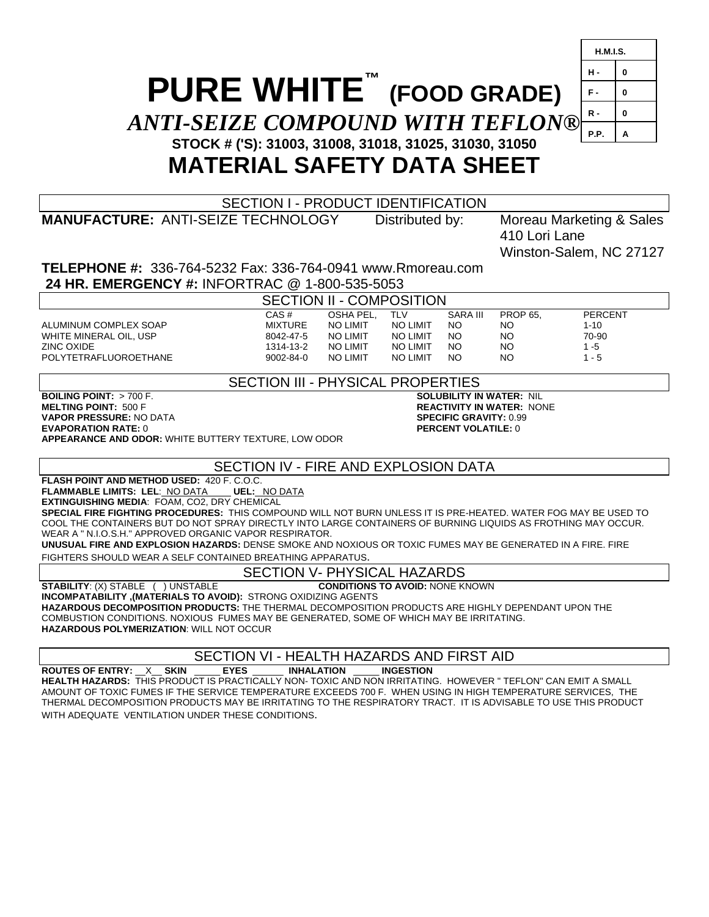# **PURE WHITE™ (FOOD GRADE)** *ANTI-SEIZE COMPOUND WITH TEFLON***® STOCK # ('S): 31003, 31008, 31018, 31025, 31030, 31050 MATERIAL SAFETY DATA SHEET**



SECTION I - PRODUCT IDENTIFICATION

**MANUFACTURE:** ANTI-SEIZE TECHNOLOGY Distributed by: Moreau Marketing & Sales 410 Lori Lane Winston-Salem, NC 27127

**TELEPHONE #:** 336-764-5232 Fax: 336-764-0941 www.Rmoreau.com  **24 HR. EMERGENCY #:** INFORTRAC @ 1-800-535-5053

SECTION II - COMPOSITION

ALUMINUM COMPLEX SOAP MIXTURE NO LIMIT NO LIMIT NO 1-10<br>WHITE MINERAL OIL, USP 8042-47-5 NO LIMIT NO LIMIT NO NO 70-90 WHITE MINERAL OIL, USP 8042-47-5 NO LIMIT NO LIMIT NO NO 70-90 ZINC OXIDE 1314-13-2 NO LIMIT NO LIMIT NO NO 1 -5 POLYTETRAFLUOROETHANE 9002-84-0 NO LIMIT NO LIMIT NO NO 1 - 5

CAS # OSHA PEL, TLV SARA III PROP 65, PERCENT

SECTION III - PHYSICAL PROPERTIES

**BOILING POINT:** > 700 F. **SOLUBILITY IN WATER:** NIL **VAPOR PRESSURE:** NO DATA **SPECIFIC GRAVITY:** 0.99 **EVAPORATION RATE:** 0 **PERCENT VOLATILE:** 0 **APPEARANCE AND ODOR:** WHITE BUTTERY TEXTURE, LOW ODOR

**REACTIVITY IN WATER: NONE** 

### SECTION IV - FIRE AND EXPLOSION DATA

**FLASH POINT AND METHOD USED:** 420 F. C.O.C.

**FLAMMABLE LIMITS: LEL**: NO DATA **UEL:** NO DATA **EXTINGUISHING MEDIA**: FOAM, CO2, DRY CHEMICAL

**SPECIAL FIRE FIGHTING PROCEDURES:** THIS COMPOUND WILL NOT BURN UNLESS IT IS PRE-HEATED. WATER FOG MAY BE USED TO COOL THE CONTAINERS BUT DO NOT SPRAY DIRECTLY INTO LARGE CONTAINERS OF BURNING LIQUIDS AS FROTHING MAY OCCUR. WEAR A " N.I.O.S.H." APPROVED ORGANIC VAPOR RESPIRATOR.

**UNUSUAL FIRE AND EXPLOSION HAZARDS:** DENSE SMOKE AND NOXIOUS OR TOXIC FUMES MAY BE GENERATED IN A FIRE. FIRE FIGHTERS SHOULD WEAR A SELF CONTAINED BREATHING APPARATUS.

## SECTION V- PHYSICAL HAZARDS

**STABILITY**: (X) STABLE ( ) UNSTABLE **CONDITIONS TO AVOID:** NONE KNOWN **INCOMPATABILITY ,(MATERIALS TO AVOID):** STRONG OXIDIZING AGENTS

**HAZARDOUS DECOMPOSITION PRODUCTS:** THE THERMAL DECOMPOSITION PRODUCTS ARE HIGHLY DEPENDANT UPON THE COMBUSTION CONDITIONS. NOXIOUS FUMES MAY BE GENERATED, SOME OF WHICH MAY BE IRRITATING. **HAZARDOUS POLYMERIZATION**: WILL NOT OCCUR

SECTION VI - HEALTH HAZARDS AND FIRST AID

**ROUTES OF ENTRY:** \_\_X\_\_ **SKIN** \_\_\_\_\_ **EYES** \_\_\_\_\_\_ **INHALATION** \_\_\_\_\_ **INGESTION HEALTH HAZARDS:** THIS PRODUCT IS PRACTICALLY NON- TOXIC AND NON IRRITATING. HOWEVER " TEFLON" CAN EMIT A SMALL AMOUNT OF TOXIC FUMES IF THE SERVICE TEMPERATURE EXCEEDS 700 F. WHEN USING IN HIGH TEMPERATURE SERVICES, THE THERMAL DECOMPOSITION PRODUCTS MAY BE IRRITATING TO THE RESPIRATORY TRACT. IT IS ADVISABLE TO USE THIS PRODUCT WITH ADEQUATE VENTILATION UNDER THESE CONDITIONS.